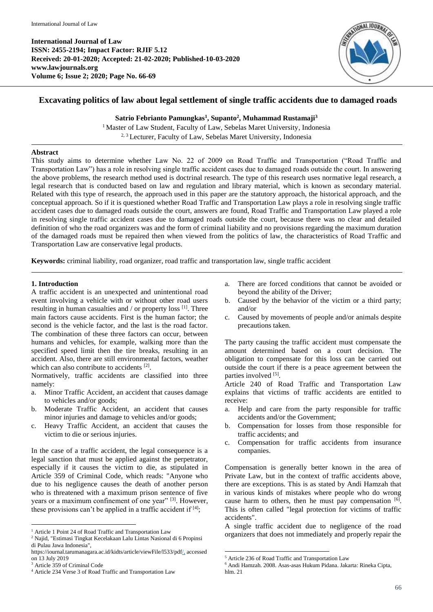**International Journal of Law ISSN: 2455-2194; Impact Factor: RJIF 5.12 Received: 20-01-2020; Accepted: 21-02-2020; Published-10-03-2020 www.lawjournals.org Volume 6; Issue 2; 2020; Page No. 66-69**



# **Excavating politics of law about legal settlement of single traffic accidents due to damaged roads**

**Satrio Febrianto Pamungkas<sup>1</sup> , Supanto<sup>2</sup> , Muhammad Rustamaji<sup>3</sup>**

<sup>1</sup> Master of Law Student, Faculty of Law, Sebelas Maret University, Indonesia <sup>2, 3</sup> Lecturer, Faculty of Law, Sebelas Maret University, Indonesia

## **Abstract**

This study aims to determine whether Law No. 22 of 2009 on Road Traffic and Transportation ("Road Traffic and Transportation Law") has a role in resolving single traffic accident cases due to damaged roads outside the court. In answering the above problems, the research method used is doctrinal research. The type of this research uses normative legal research, a legal research that is conducted based on law and regulation and library material, which is known as secondary material. Related with this type of research, the approach used in this paper are the statutory approach, the historical approach, and the conceptual approach. So if it is questioned whether Road Traffic and Transportation Law plays a role in resolving single traffic accident cases due to damaged roads outside the court, answers are found, Road Traffic and Transportation Law played a role in resolving single traffic accident cases due to damaged roads outside the court, because there was no clear and detailed definition of who the road organizers was and the form of criminal liability and no provisions regarding the maximum duration of the damaged roads must be repaired then when viewed from the politics of law, the characteristics of Road Traffic and Transportation Law are conservative legal products.

**Keywords:** criminal liability, road organizer, road traffic and transportation law, single traffic accident

# **1. Introduction**

A traffic accident is an unexpected and unintentional road event involving a vehicle with or without other road users resulting in human casualties and / or property loss [1]. Three main factors cause accidents. First is the human factor; the second is the vehicle factor, and the last is the road factor. The combination of these three factors can occur, between humans and vehicles, for example, walking more than the specified speed limit then the tire breaks, resulting in an accident. Also, there are still environmental factors, weather which can also contribute to accidents [2].

Normatively, traffic accidents are classified into three namely:

- a. Minor Traffic Accident, an accident that causes damage to vehicles and/or goods;
- b. Moderate Traffic Accident, an accident that causes minor injuries and damage to vehicles and/or goods;
- c. Heavy Traffic Accident, an accident that causes the victim to die or serious injuries.

In the case of a traffic accident, the legal consequence is a legal sanction that must be applied against the perpetrator, especially if it causes the victim to die, as stipulated in Article 359 of Criminal Code, which reads: "Anyone who due to his negligence causes the death of another person who is threatened with a maximum prison sentence of five years or a maximum confinement of one year" [3]. However, these provisions can't be applied in a traffic accident if  $[4]$ ;

1

- a. There are forced conditions that cannot be avoided or beyond the ability of the Driver;
- b. Caused by the behavior of the victim or a third party; and/or
- c. Caused by movements of people and/or animals despite precautions taken.

The party causing the traffic accident must compensate the amount determined based on a court decision. The obligation to compensate for this loss can be carried out outside the court if there is a peace agreement between the parties involved [5].

Article 240 of Road Traffic and Transportation Law explains that victims of traffic accidents are entitled to receive:

- a. Help and care from the party responsible for traffic accidents and/or the Government;
- b. Compensation for losses from those responsible for traffic accidents; and
- c. Compensation for traffic accidents from insurance companies.

Compensation is generally better known in the area of Private Law, but in the context of traffic accidents above, there are exceptions. This is as stated by Andi Hamzah that in various kinds of mistakes where people who do wrong cause harm to others, then he must pay compensation [6]. This is often called "legal protection for victims of traffic accidents".

A single traffic accident due to negligence of the road organizers that does not immediately and properly repair the

1

<sup>&</sup>lt;sup>1</sup> Article 1 Point 24 of Road Traffic and Transportation Law

<sup>2</sup> Najid, "Estimasi Tingkat Kecelakaan Lalu Lintas Nasional di 6 Propinsi di Pulau Jawa Indonesia",

https://iournal.tarumanagara.ac.id/kidts/article/viewFile/l533/pdf/, accessed on 13 July 2019

<sup>3</sup> Article 359 of Criminal Code

<sup>4</sup> Article 234 Verse 3 of Road Traffic and Transportation Law

<sup>5</sup> Article 236 of Road Traffic and Transportation Law

<sup>6</sup> Andi Hamzah. 2008. Asas-asas Hukum Pidana. Jakarta: Rineka Cipta, hlm. 21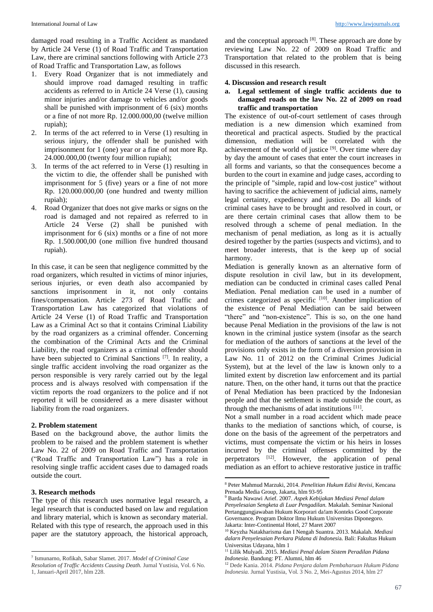damaged road resulting in a Traffic Accident as mandated by Article 24 Verse (1) of Road Traffic and Transportation Law, there are criminal sanctions following with Article 273 of Road Traffic and Transportation Law, as follows

- 1. Every Road Organizer that is not immediately and should improve road damaged resulting in traffic accidents as referred to in Article 24 Verse (1), causing minor injuries and/or damage to vehicles and/or goods shall be punished with imprisonment of 6 (six) months or a fine of not more Rp. 12.000.000,00 (twelve million rupiah);
- 2. In terms of the act referred to in Verse (1) resulting in serious injury, the offender shall be punished with imprisonment for 1 (one) year or a fine of not more Rp. 24.000.000,00 (twenty four million rupiah);
- 3. In terms of the act referred to in Verse (1) resulting in the victim to die, the offender shall be punished with imprisonment for 5 (five) years or a fine of not more Rp. 120.000.000,00 (one hundred and twenty million rupiah);
- 4. Road Organizer that does not give marks or signs on the road is damaged and not repaired as referred to in Article 24 Verse (2) shall be punished with imprisonment for 6 (six) months or a fine of not more Rp. 1.500.000,00 (one million five hundred thousand rupiah).

In this case, it can be seen that negligence committed by the road organizers, which resulted in victims of minor injuries, serious injuries, or even death also accompanied by sanctions imprisonment in it, not only contains fines/compensation. Article 273 of Road Traffic and Transportation Law has categorized that violations of Article 24 Verse (1) of Road Traffic and Transportation Law as a Criminal Act so that it contains Criminal Liability by the road organizers as a criminal offender. Concerning the combination of the Criminal Acts and the Criminal Liability, the road organizers as a criminal offender should have been subjected to Criminal Sanctions<sup>[7]</sup>. In reality, a single traffic accident involving the road organizer as the person responsible is very rarely carried out by the legal process and is always resolved with compensation if the victim reports the road organizers to the police and if not reported it will be considered as a mere disaster without liability from the road organizers.

## **2. Problem statement**

Based on the background above, the author limits the problem to be raised and the problem statement is whether Law No. 22 of 2009 on Road Traffic and Transportation ("Road Traffic and Transportation Law") has a role in resolving single traffic accident cases due to damaged roads outside the court.

## **3. Research methods**

1

The type of this research uses normative legal research, a legal research that is conducted based on law and regulation and library material, which is known as secondary material. Related with this type of research, the approach used in this paper are the statutory approach, the historical approach,

and the conceptual approach  $[8]$ . These approach are done by reviewing Law No. 22 of 2009 on Road Traffic and Transportation that related to the problem that is being discussed in this research.

#### **4. Discussion and research result**

## **a. Legal settlement of single traffic accidents due to damaged roads on the law No. 22 of 2009 on road traffic and transportation**

The existence of out-of-court settlement of cases through mediation is a new dimension which examined from theoretical and practical aspects. Studied by the practical dimension, mediation will be correlated with the achievement of the world of justice  $[9]$ . Over time where day by day the amount of cases that enter the court increases in all forms and variants, so that the consequences become a burden to the court in examine and judge cases, according to the principle of "simple, rapid and low-cost justice" without having to sacrifice the achievement of judicial aims, namely legal certainty, expediency and justice. Do all kinds of criminal cases have to be brought and resolved in court, or are there certain criminal cases that allow them to be resolved through a scheme of penal mediation. In the mechanism of penal mediation, as long as it is actually desired together by the parties (suspects and victims), and to meet broader interests, that is the keep up of social harmony.

Mediation is generally known as an alternative form of dispute resolution in civil law, but in its development, mediation can be conducted in criminal cases called Penal Mediation. Penal mediation can be used in a number of crimes categorized as specific [10]. Another implication of the existence of Penal Mediation can be said between "there" and "non-existence". This is so, on the one hand because Penal Mediation in the provisions of the law is not known in the criminal justice system (insofar as the search for mediation of the authors of sanctions at the level of the provisions only exists in the form of a diversion provision in Law No. 11 of 2012 on the Criminal Crimes Judicial System), but at the level of the law is known only to a limited extent by discretion law enforcement and its partial nature. Then, on the other hand, it turns out that the practice of Penal Mediation has been practiced by the Indonesian people and that the settlement is made outside the court, as through the mechanisms of adat institutions [11].

Not a small number in a road accident which made peace thanks to the mediation of sanctions which, of course, is done on the basis of the agreement of the perpetrators and victims, must compensate the victim or his heirs in losses incurred by the criminal offenses committed by the perpetrators [12]. However, the application of penal mediation as an effort to achieve restorative justice in traffic

-

<sup>7</sup> Ismunarno, Rofikah, Sabar Slamet. 2017. *Model of Criminal Case* 

*Resolution of Traffic Accidents Causing Death.* Jurnal Yustisia, Vol. 6 No. 1, Januari-April 2017, hlm 228.

<sup>8</sup> Peter Mahmud Marzuki, 2014. *Penelitian Hukum Edisi Revisi*, Kencana Prenada Media Group, Jakarta, hlm 93-95

<sup>9</sup> Barda Nawawi Arief. 2007. *Aspek Kebijakan Mediasi Penal dalam Penyelesaian Sengketa di Luar Pengadilan.* Makalah. Seminar Nasional Pertanggungjawaban Hukum Korporari da!am Konteks Good Corporate Governance. Program Doktor llmu Hukum Universitas Diponegoro. Jakarta: Inter-Continental Hotel, 27 Maret 2007

<sup>10</sup> Keyzha Natakharisma dan I Nengah Suantra. 2013. Makalah*. Mediasi dalarn Penyelesaian Perkara Pidana di Indonesi*a. Bali: Fakultas Hukum Universitas Udayana, hlm 1

<sup>11</sup> Lilik Mulyadi. 2015. *Mediasi Penal dalam Sistem Peradilan Pidana Indonesia*. Bandung: PT. Alumni, hlm 46

<sup>12</sup> Dede Kania. 2014. *Pidana Penjara dalam Pembaharuan Hukum Pidana Indonesia.* Jurnal Yustisia, Vol. 3 No. 2, Mei-Agustus 2014, hlm 27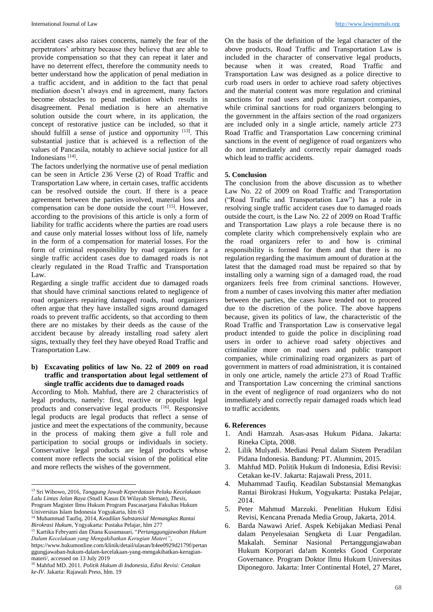accident cases also raises concerns, namely the fear of the perpetrators' arbitrary because they believe that are able to provide compensation so that they can repeat it later and have no deterrent effect, therefore the community needs to better understand how the application of penal mediation in a traffic accident, and in addition to the fact that penal mediation doesn't always end in agreement, many factors become obstacles to penal mediation which results in disagreement. Penal mediation is here an alternative solution outside the court where, in its application, the concept of restorative justice can be included, so that it should fulfill a sense of justice and opportunity  $[13]$ . This substantial justice that is achieved is a reflection of the values of Pancasila, notably to achieve social justice for all Indonesians<sup>[14]</sup>.

The factors underlying the normative use of penal mediation can be seen in Article 236 Verse (2) of Road Traffic and Transportation Law where, in certain cases, traffic accidents can be resolved outside the court. If there is a peace agreement between the parties involved, material loss and compensation can be done outside the court [15] . However, according to the provisions of this article is only a form of liability for traffic accidents where the parties are road users and cause only material losses without loss of life, namely in the form of a compensation for material losses. For the form of criminal responsibility by road organizers for a single traffic accident cases due to damaged roads is not clearly regulated in the Road Traffic and Transportation Law.

Regarding a single traffic accident due to damaged roads that should have criminal sanctions related to negligence of road organizers repairing damaged roads, road organizers often argue that they have installed signs around damaged roads to prevent traffic accidents, so that according to them there are no mistakes by their deeds as the cause of the accident because by already installing road safety alert signs, textually they feel they have obeyed Road Traffic and Transportation Law.

#### **b) Excavating politics of law No. 22 of 2009 on road traffic and transportation about legal settlement of single traffic accidents due to damaged roads**

According to Moh. Mahfud, there are 2 characteristics of legal products, namely: first, reactive or populist legal products and conservative legal products [16]. Responsive legal products are legal products that reflect a sense of justice and meet the expectations of the community, because in the process of making them give a full role and participation to social groups or individuals in society. Conservative legal products are legal products whose content more reflects the social vision of the political elite and more reflects the wishes of the government.

1

On the basis of the definition of the legal character of the above products, Road Traffic and Transportation Law is included in the character of conservative legal products, because when it was created, Road Traffic and Transportation Law was designed as a police directive to curb road users in order to achieve road safety objectives and the material content was more regulation and criminal sanctions for road users and public transport companies, while criminal sanctions for road organizers belonging to the government in the affairs section of the road organizers are included only in a single article, namely article 273 Road Traffic and Transportation Law concerning criminal sanctions in the event of negligence of road organizers who do not immediately and correctly repair damaged roads which lead to traffic accidents.

#### **5. Conclusion**

The conclusion from the above discussion as to whether Law No. 22 of 2009 on Road Traffic and Transportation ("Road Traffic and Transportation Law") has a role in resolving single traffic accident cases due to damaged roads outside the court, is the Law No. 22 of 2009 on Road Traffic and Transportation Law plays a role because there is no complete clarity which comprehensively explain who are the road organizers refer to and how is criminal responsibility is formed for them and that there is no regulation regarding the maximum amount of duration at the latest that the damaged road must be repaired so that by installing only a warning sign of a damaged road, the road organizers feels free from criminal sanctions. However, from a number of cases involving this matter after mediation between the parties, the cases have tended not to proceed due to the discretion of the police. The above happens because, given its politics of law, the characteristic of the Road Traffic and Transportation Law is conservative legal product intended to guide the police in disciplining road users in order to achieve road safety objectives and criminalize more on road users and public transport companies, while criminalizing road organizers as part of government in matters of road administration, it is contained in only one article, namely the article 273 of Road Traffic and Transportation Law concerning the criminal sanctions in the event of negligence of road organizers who do not immediately and correctly repair damaged roads which lead to traffic accidents.

#### **6. References**

- 1. Andi Hamzah. Asas-asas Hukum Pidana. Jakarta: Rineka Cipta, 2008.
- 2. Lilik Mulyadi. Mediasi Penal dalam Sistem Peradilan Pidana Indonesia. Bandung: PT. Alumnim, 2015.
- 3. Mahfud MD. Politik Hukum di Indonesia, Edisi Revisi: Cetakan ke-IV. Jakarta: Rajawali Press, 2011.
- 4. Muhammad Taufiq. Keadilan Substansial Memangkas Rantai Birokrasi Hukum, Yogyakarta: Pustaka Pelajar, 2014.
- 5. Peter Mahmud Marzuki. Penelitian Hukum Edisi Revisi, Kencana Prenada Media Group, Jakarta, 2014.
- 6. Barda Nawawi Arief. Aspek Kebijakan Mediasi Penal dalam Penyelesaian Sengketa di Luar Pengadilan. Makalah. Seminar Nasional Pertanggungjawaban Hukum Korporari da!am Konteks Good Corporate Governance. Program Doktor llmu Hukum Universitas Diponegoro. Jakarta: Inter Continental Hotel, 27 Maret,

<sup>13</sup> Sri Wibowo, 2016, *Tanggung Jawab Keperdataan Pelaku Kecelakaan Lalu Lintas Jalan Raya* (Stud1 Kasus Di Wilayah Sleman), *Thesis*, Program Magister Ilmu Hukum Program Pascasarjana Fakultas Hukum

Universitas Islam Indonesia Yogyakarta, hlm 63

<sup>14</sup> Muhammad Taufiq, 2014, *Keadilan Substansial Memangkas Rantai Birokrasi Hukum*, Yogyakarta: Pustaka Pelajar, hlm 277

<sup>15</sup> Kartika Febryanti dan Diana Kusumasari, "*Pertanggungjawaban Hukum Dalam Kecelakaan yang Mengakibatkan Kerugian Materi"*,

https://www.hukumonline.com/klinik/detail/ulasan/lt4ee0929d2179f/pertan ggungjawaban-hukum-dalam-kecelakaan-yang-mengakibatkan-kerugianmateri/, accessed on 13 July 2019

<sup>16</sup> Mahfud MD. 2011. *Politik Hukum di Indonesia, Edisi Revisi: Cetakan ke-IV*. Jakarta: Rajawali Press, hlm. 19